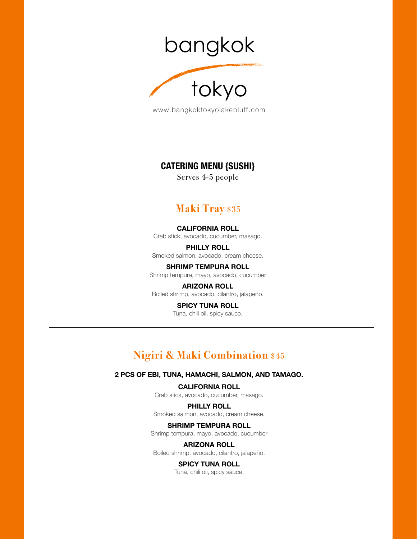bangkok



www.bangkoktokyolakebluff.com

### **CATERING MENU {SUSHI}**

Serves 4-5 people

# **Maki Tray** \$35

**CALIFORNIA ROLL** Crab stick, avocado, cucumber, masago.

**PHILLY ROLL** Smoked salmon, avocado, cream cheese.

**SHRIMP TEMPURA ROLL** Shrimp tempura, mayo, avocado, cucumber

**ARIZONA ROLL** Boiled shrimp, avocado, cilantro, jalapeño.

> **SPICY TUNA ROLL** Tuna, chili oil, spicy sauce.

# **Nigiri & Maki Combination** \$45

#### **2 PCS OF EBI, TUNA, HAMACHI, SALMON, AND TAMAGO.**

**CALIFORNIA ROLL** Crab stick, avocado, cucumber, masago.

**PHILLY ROLL** Smoked salmon, avocado, cream cheese.

**SHRIMP TEMPURA ROLL** Shrimp tempura, mayo, avocado, cucumber

**ARIZONA ROLL** Boiled shrimp, avocado, cilantro, jalapeño.

### **SPICY TUNA ROLL**

Tuna, chili oil, spicy sauce.